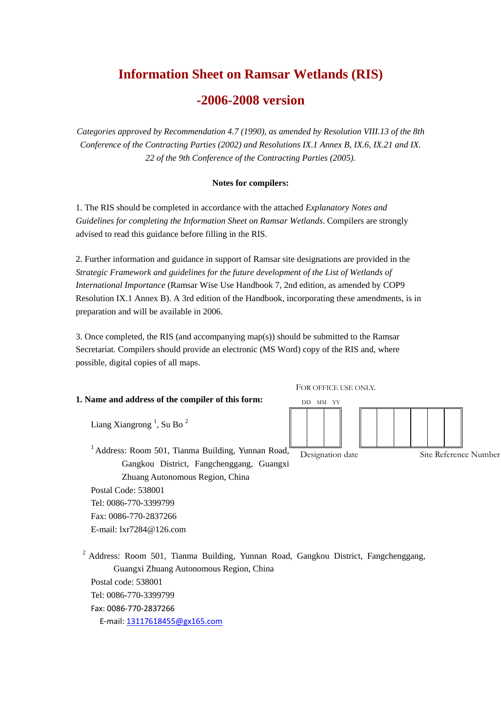# **Information Sheet on Ramsar Wetlands (RIS)**

## **-2006-2008 version**

*Categories approved by Recommendation 4.7 (1990), as amended by Resolution VIII.13 of the 8th Conference of the Contracting Parties (2002) and Resolutions IX.1 Annex B, IX.6, IX.21 and IX. 22 of the 9th Conference of the Contracting Parties (2005).*

## **Notes for compilers:**

1. The RIS should be completed in accordance with the attached *Explanatory Notes and Guidelines for completing the Information Sheet on Ramsar Wetlands*. Compilers are strongly advised to read this guidance before filling in the RIS.

2. Further information and guidance in support of Ramsar site designations are provided in the *Strategic Framework and guidelines for the future development of the List of Wetlands of International Importance* (Ramsar Wise Use Handbook 7, 2nd edition, as amended by COP9 Resolution IX.1 Annex B). A 3rd edition of the Handbook, incorporating these amendments, is in preparation and will be available in 2006.

3. Once completed, the RIS (and accompanying map(s)) should be submitted to the Ramsar Secretariat. Compilers should provide an electronic (MS Word) copy of the RIS and, where possible, digital copies of all maps.

## **1. Name and address of the compiler of this form:**

FOR OFFICE USE ONLY.



Liang Xiangrong<sup>1</sup>, Su Bo<sup>2</sup>

<sup>1</sup> Address: Room 501, Tianma Building, Yunnan Road, Gangkou District, Fangchenggang, Guangxi Zhuang Autonomous Region, China Postal Code: 538001 Tel: 0086-770-3399799 Designation date Site Reference Number

Fax: 0086-770-2837266 E-mail: lxr7284@126.com

<sup>2</sup> Address: Room 501, Tianma Building, Yunnan Road, Gangkou District, Fangchenggang, Guangxi Zhuang Autonomous Region, China Postal code: 538001 Tel: 0086-770-3399799 Fax: 0086-770-2837266 E-mail: 13117618455@gx165.com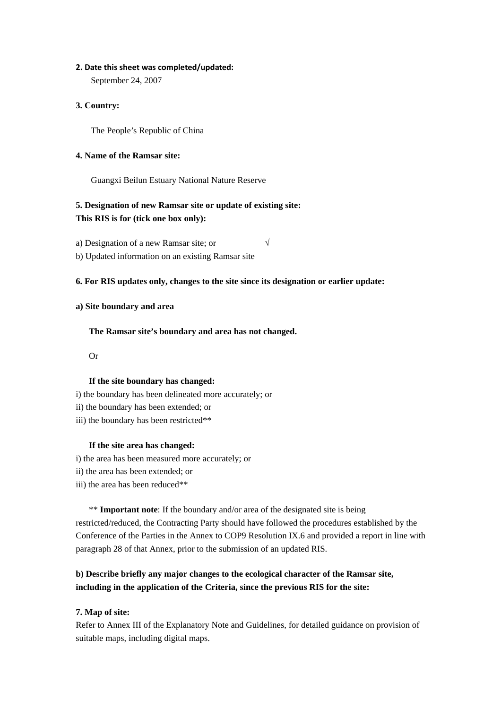## 2. Date this sheet was completed/updated:

September 24, 2007

## **3. Country:**

The People's Republic of China

## **4. Name of the Ramsar site:**

Guangxi Beilun Estuary National Nature Reserve

## **5. Designation of new Ramsar site or update of existing site: This RIS is for (tick one box only):**

a) Designation of a new Ramsar site; or  $\sqrt{}$ 

b) Updated information on an existing Ramsar site

## **6. For RIS updates only, changes to the site since its designation or earlier update:**

## **a) Site boundary and area**

**The Ramsar site's boundary and area has not changed.** 

Or

## **If the site boundary has changed:**

- i) the boundary has been delineated more accurately; or
- ii) the boundary has been extended; or
- iii) the boundary has been restricted\*\*

## **If the site area has changed:**

- i) the area has been measured more accurately; or
- ii) the area has been extended; or
- iii) the area has been reduced\*\*

\*\* **Important note**: If the boundary and/or area of the designated site is being restricted/reduced, the Contracting Party should have followed the procedures established by the Conference of the Parties in the Annex to COP9 Resolution IX.6 and provided a report in line with paragraph 28 of that Annex, prior to the submission of an updated RIS.

## **b) Describe briefly any major changes to the ecological character of the Ramsar site, including in the application of the Criteria, since the previous RIS for the site:**

## **7. Map of site:**

Refer to Annex III of the Explanatory Note and Guidelines, for detailed guidance on provision of suitable maps, including digital maps.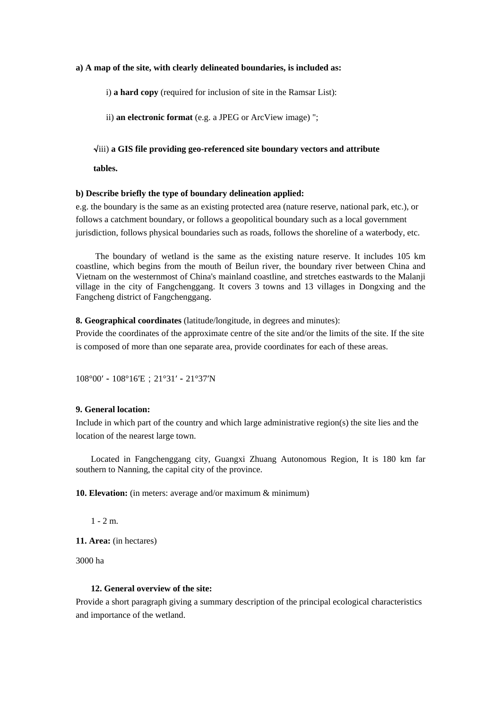#### **a) A map of the site, with clearly delineated boundaries, is included as:**

i) **a hard copy** (required for inclusion of site in the Ramsar List):

ii) **an electronic format** (e.g. a JPEG or ArcView image) ";

#### √iii) **a GIS file providing geo-referenced site boundary vectors and attribute**

**tables.** 

#### **b) Describe briefly the type of boundary delineation applied:**

e.g. the boundary is the same as an existing protected area (nature reserve, national park, etc.), or follows a catchment boundary, or follows a geopolitical boundary such as a local government jurisdiction, follows physical boundaries such as roads, follows the shoreline of a waterbody, etc.

 The boundary of wetland is the same as the existing nature reserve. It includes 105 km coastline, which begins from the mouth of Beilun river, the boundary river between China and Vietnam on the westernmost of China's mainland coastline, and stretches eastwards to the Malanji village in the city of Fangchenggang. It covers 3 towns and 13 villages in Dongxing and the Fangcheng district of Fangchenggang.

#### **8. Geographical coordinates** (latitude/longitude, in degrees and minutes):

Provide the coordinates of the approximate centre of the site and/or the limits of the site. If the site is composed of more than one separate area, provide coordinates for each of these areas.

108°00′-108°16′E;21°31′-21°37′N

## **9. General location:**

Include in which part of the country and which large administrative region(s) the site lies and the location of the nearest large town.

Located in Fangchenggang city, Guangxi Zhuang Autonomous Region, It is 180 km far southern to Nanning, the capital city of the province.

**10. Elevation:** (in meters: average and/or maximum & minimum)

 $1 - 2m$ 

**11. Area:** (in hectares)

3000 ha

#### **12. General overview of the site:**

Provide a short paragraph giving a summary description of the principal ecological characteristics and importance of the wetland.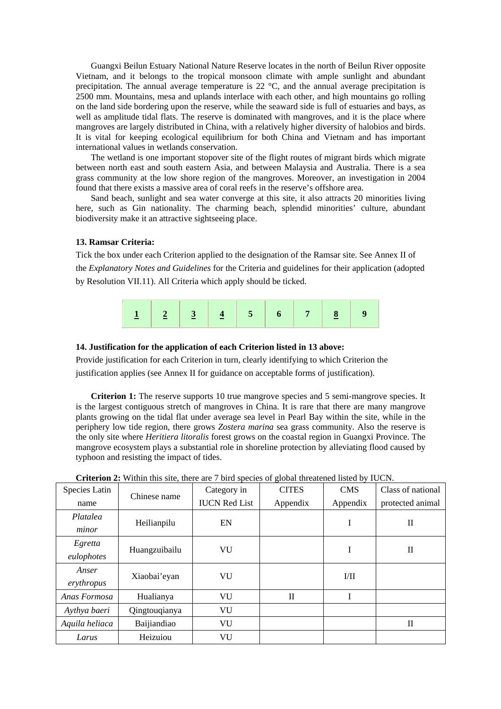Guangxi Beilun Estuary National Nature Reserve locates in the north of Beilun River opposite Vietnam, and it belongs to the tropical monsoon climate with ample sunlight and abundant precipitation. The annual average temperature is 22 °C, and the annual average precipitation is 2500 mm. Mountains, mesa and uplands interlace with each other, and high mountains go rolling on the land side bordering upon the reserve, while the seaward side is full of estuaries and bays, as well as amplitude tidal flats. The reserve is dominated with mangroves, and it is the place where mangroves are largely distributed in China, with a relatively higher diversity of halobios and birds. It is vital for keeping ecological equilibrium for both China and Vietnam and has important international values in wetlands conservation.

The wetland is one important stopover site of the flight routes of migrant birds which migrate between north east and south eastern Asia, and between Malaysia and Australia. There is a sea grass community at the low shore region of the mangroves. Moreover, an investigation in 2004 found that there exists a massive area of coral reefs in the reserve's offshore area.

Sand beach, sunlight and sea water converge at this site, it also attracts 20 minorities living here, such as Gin nationality. The charming beach, splendid minorities' culture, abundant biodiversity make it an attractive sightseeing place.

## **13. Ramsar Criteria:**

Tick the box under each Criterion applied to the designation of the Ramsar site. See Annex II of the *Explanatory Notes and Guidelines* for the Criteria and guidelines for their application (adopted by Resolution VII.11). All Criteria which apply should be ticked.



#### **14. Justification for the application of each Criterion listed in 13 above:**

Provide justification for each Criterion in turn, clearly identifying to which Criterion the justification applies (see Annex II for guidance on acceptable forms of justification).

**Criterion 1:** The reserve supports 10 true mangrove species and 5 semi-mangrove species. It is the largest contiguous stretch of mangroves in China. It is rare that there are many mangrove plants growing on the tidal flat under average sea level in Pearl Bay within the site, while in the periphery low tide region, there grows *Zostera marina* sea grass community. Also the reserve is the only site where *Heritiera litoralis* forest grows on the coastal region in Guangxi Province. The mangrove ecosystem plays a substantial role in shoreline protection by alleviating flood caused by typhoon and resisting the impact of tides.

|                       | Criterion $\mu$ , whilm this site, there are <i>f</i> on a species or grobal uncatelled fisted by TOCTV. |                      |              |                  |                   |
|-----------------------|----------------------------------------------------------------------------------------------------------|----------------------|--------------|------------------|-------------------|
| Species Latin         | Chinese name                                                                                             | Category in          | <b>CITES</b> | <b>CMS</b>       | Class of national |
| name                  |                                                                                                          | <b>IUCN Red List</b> | Appendix     | Appendix         | protected animal  |
| Platalea<br>minor     | Heilianpilu                                                                                              | EN                   |              | I                | П                 |
| Egretta<br>eulophotes | Huangzuibailu                                                                                            | VU                   |              | I                | $\mathbf{I}$      |
| Anser<br>erythropus   | Xiaobai'eyan                                                                                             | VU                   |              | $\rm{I}/\rm{II}$ |                   |
| Anas Formosa          | Hualianya                                                                                                | VU                   | $\mathbf{I}$ | I                |                   |
| Aythya baeri          | Qingtouqianya                                                                                            | VU                   |              |                  |                   |
| Aquila heliaca        | Baijiandiao                                                                                              | VU                   |              |                  | $\mathbf{I}$      |
| Larus                 | Heizuiou                                                                                                 | VU                   |              |                  |                   |

**Criterion 2:** Within this site, there are 7 bird species of global threatened listed by IUCN.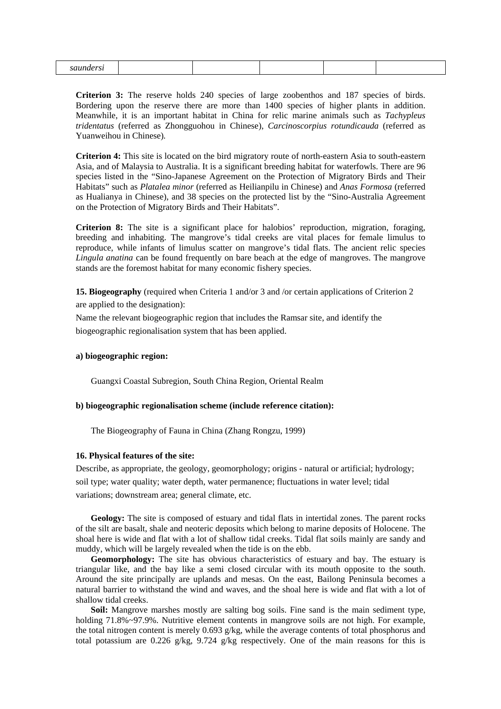|--|--|--|--|--|

**Criterion 3:** The reserve holds 240 species of large zoobenthos and 187 species of birds. Bordering upon the reserve there are more than 1400 species of higher plants in addition. Meanwhile, it is an important habitat in China for relic marine animals such as *Tachypleus tridentatus* (referred as Zhongguohou in Chinese), *Carcinoscorpius rotundicauda* (referred as Yuanweihou in Chinese)*.* 

**Criterion 4:** This site is located on the bird migratory route of north-eastern Asia to south-eastern Asia, and of Malaysia to Australia. It is a significant breeding habitat for waterfowls. There are 96 species listed in the "Sino-Japanese Agreement on the Protection of Migratory Birds and Their Habitats" such as *Platalea minor* (referred as Heilianpilu in Chinese) and *Anas Formosa* (referred as Hualianya in Chinese), and 38 species on the protected list by the "Sino-Australia Agreement on the Protection of Migratory Birds and Their Habitats".

**Criterion 8:** The site is a significant place for halobios' reproduction, migration, foraging, breeding and inhabiting. The mangrove's tidal creeks are vital places for female limulus to reproduce, while infants of limulus scatter on mangrove's tidal flats. The ancient relic species *Lingula anatina* can be found frequently on bare beach at the edge of mangroves. The mangrove stands are the foremost habitat for many economic fishery species.

**15. Biogeography** (required when Criteria 1 and/or 3 and /or certain applications of Criterion 2 are applied to the designation):

Name the relevant biogeographic region that includes the Ramsar site, and identify the biogeographic regionalisation system that has been applied.

## **a) biogeographic region:**

Guangxi Coastal Subregion, South China Region, Oriental Realm

#### **b) biogeographic regionalisation scheme (include reference citation):**

The Biogeography of Fauna in China (Zhang Rongzu, 1999)

#### **16. Physical features of the site:**

Describe, as appropriate, the geology, geomorphology; origins - natural or artificial; hydrology; soil type; water quality; water depth, water permanence; fluctuations in water level; tidal variations; downstream area; general climate, etc.

**Geology:** The site is composed of estuary and tidal flats in intertidal zones. The parent rocks of the silt are basalt, shale and neoteric deposits which belong to marine deposits of Holocene. The shoal here is wide and flat with a lot of shallow tidal creeks. Tidal flat soils mainly are sandy and muddy, which will be largely revealed when the tide is on the ebb.

**Geomorphology:** The site has obvious characteristics of estuary and bay. The estuary is triangular like, and the bay like a semi closed circular with its mouth opposite to the south. Around the site principally are uplands and mesas. On the east, Bailong Peninsula becomes a natural barrier to withstand the wind and waves, and the shoal here is wide and flat with a lot of shallow tidal creeks.

**Soil:** Mangrove marshes mostly are salting bog soils. Fine sand is the main sediment type, holding 71.8%~97.9%. Nutritive element contents in mangrove soils are not high. For example, the total nitrogen content is merely 0.693 g/kg, while the average contents of total phosphorus and total potassium are 0.226 g/kg, 9.724 g/kg respectively. One of the main reasons for this is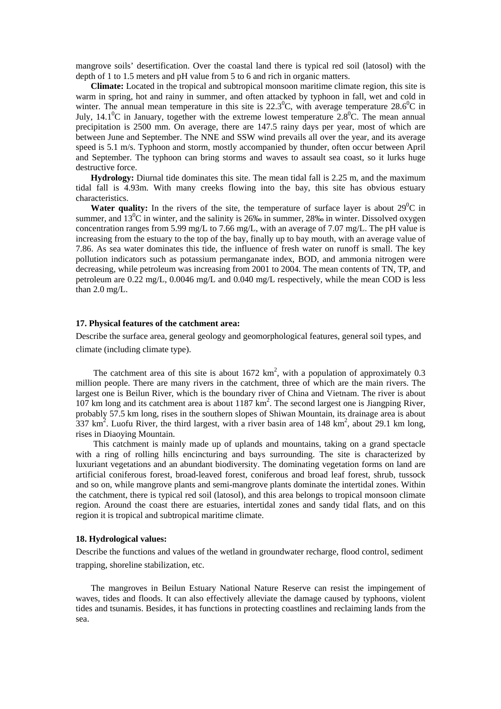mangrove soils' desertification. Over the coastal land there is typical red soil (latosol) with the depth of 1 to 1.5 meters and pH value from 5 to 6 and rich in organic matters.

**Climate:** Located in the tropical and subtropical monsoon maritime climate region, this site is warm in spring, hot and rainy in summer, and often attacked by typhoon in fall, wet and cold in winter. The annual mean temperature in this site is  $22.3^{\circ}$ C, with average temperature  $28.6^{\circ}$ C in July, 14.1<sup>o</sup>C in January, together with the extreme lowest temperature 2.8<sup>o</sup>C. The mean annual precipitation is 2500 mm. On average, there are 147.5 rainy days per year, most of which are between June and September. The NNE and SSW wind prevails all over the year, and its average speed is 5.1 m/s. Typhoon and storm, mostly accompanied by thunder, often occur between April and September. The typhoon can bring storms and waves to assault sea coast, so it lurks huge destructive force.

**Hydrology:** Diurnal tide dominates this site. The mean tidal fall is 2.25 m, and the maximum tidal fall is 4.93m. With many creeks flowing into the bay, this site has obvious estuary characteristics.

**Water quality:** In the rivers of the site, the temperature of surface layer is about  $29^{\circ}$ C in summer, and  $13^{\circ}$ C in winter, and the salinity is 26‰ in summer, 28‰ in winter. Dissolved oxygen concentration ranges from 5.99 mg/L to 7.66 mg/L, with an average of 7.07 mg/L. The pH value is increasing from the estuary to the top of the bay, finally up to bay mouth, with an average value of 7.86. As sea water dominates this tide, the influence of fresh water on runoff is small. The key pollution indicators such as potassium permanganate index, BOD, and ammonia nitrogen were decreasing, while petroleum was increasing from 2001 to 2004. The mean contents of TN, TP, and petroleum are 0.22 mg/L, 0.0046 mg/L and 0.040 mg/L respectively, while the mean COD is less than 2.0 mg/L.

#### **17. Physical features of the catchment area:**

Describe the surface area, general geology and geomorphological features, general soil types, and climate (including climate type).

The catchment area of this site is about 1672  $km^2$ , with a population of approximately 0.3 million people. There are many rivers in the catchment, three of which are the main rivers. The largest one is Beilun River, which is the boundary river of China and Vietnam. The river is about 107 km long and its catchment area is about 1187 km<sup>2</sup>. The second largest one is Jiangping River, probably 57.5 km long, rises in the southern slopes of Shiwan Mountain, its drainage area is about  $337 \text{ km}^2$ . Luofu River, the third largest, with a river basin area of 148 km<sup>2</sup>, about 29.1 km long, rises in Diaoying Mountain.

This catchment is mainly made up of uplands and mountains, taking on a grand spectacle with a ring of rolling hills encincturing and bays surrounding. The site is characterized by luxuriant vegetations and an abundant biodiversity. The dominating vegetation forms on land are artificial coniferous forest, broad-leaved forest, coniferous and broad leaf forest, shrub, tussock and so on, while mangrove plants and semi-mangrove plants dominate the intertidal zones. Within the catchment, there is typical red soil (latosol), and this area belongs to tropical monsoon climate region. Around the coast there are estuaries, intertidal zones and sandy tidal flats, and on this region it is tropical and subtropical maritime climate.

#### **18. Hydrological values:**

Describe the functions and values of the wetland in groundwater recharge, flood control, sediment trapping, shoreline stabilization, etc.

The mangroves in Beilun Estuary National Nature Reserve can resist the impingement of waves, tides and floods. It can also effectively alleviate the damage caused by typhoons, violent tides and tsunamis. Besides, it has functions in protecting coastlines and reclaiming lands from the sea.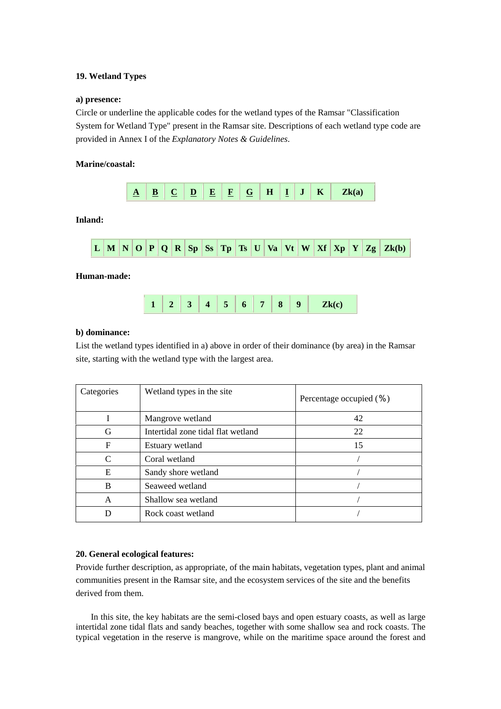## **19. Wetland Types**

## **a) presence:**

Circle or underline the applicable codes for the wetland types of the Ramsar "Classification System for Wetland Type" present in the Ramsar site. Descriptions of each wetland type code are provided in Annex I of the *Explanatory Notes & Guidelines*.

## **Marine/coastal:**



## **b) dominance:**

List the wetland types identified in a) above in order of their dominance (by area) in the Ramsar site, starting with the wetland type with the largest area.

| Categories                  | Wetland types in the site          | Percentage occupied $(\% )$ |
|-----------------------------|------------------------------------|-----------------------------|
|                             | Mangrove wetland                   | 42                          |
| G                           | Intertidal zone tidal flat wetland | 22                          |
| F                           | Estuary wetland                    | 15                          |
| $\mathcal{C}_{\mathcal{C}}$ | Coral wetland                      |                             |
| Е                           | Sandy shore wetland                |                             |
| B                           | Seaweed wetland                    |                             |
| A                           | Shallow sea wetland                |                             |
|                             | Rock coast wetland                 |                             |

## **20. General ecological features:**

Provide further description, as appropriate, of the main habitats, vegetation types, plant and animal communities present in the Ramsar site, and the ecosystem services of the site and the benefits derived from them.

In this site, the key habitats are the semi-closed bays and open estuary coasts, as well as large intertidal zone tidal flats and sandy beaches, together with some shallow sea and rock coasts. The typical vegetation in the reserve is mangrove, while on the maritime space around the forest and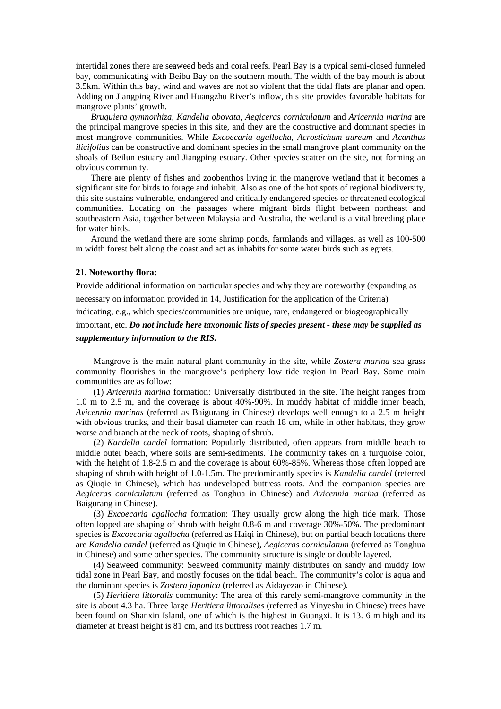intertidal zones there are seaweed beds and coral reefs. Pearl Bay is a typical semi-closed funneled bay, communicating with Beibu Bay on the southern mouth. The width of the bay mouth is about 3.5km. Within this bay, wind and waves are not so violent that the tidal flats are planar and open. Adding on Jiangping River and Huangzhu River's inflow, this site provides favorable habitats for mangrove plants' growth.

*Bruguiera gymnorhiza, Kandelia obovata, Aegiceras corniculatum* and *Aricennia marina* are the principal mangrove species in this site, and they are the constructive and dominant species in most mangrove communities. While *Excoecaria agallocha, Acrostichum aureum* and *Acanthus ilicifolius* can be constructive and dominant species in the small mangrove plant community on the shoals of Beilun estuary and Jiangping estuary. Other species scatter on the site, not forming an obvious community.

There are plenty of fishes and zoobenthos living in the mangrove wetland that it becomes a significant site for birds to forage and inhabit. Also as one of the hot spots of regional biodiversity, this site sustains vulnerable, endangered and critically endangered species or threatened ecological communities. Locating on the passages where migrant birds flight between northeast and southeastern Asia, together between Malaysia and Australia, the wetland is a vital breeding place for water birds.

Around the wetland there are some shrimp ponds, farmlands and villages, as well as 100-500 m width forest belt along the coast and act as inhabits for some water birds such as egrets.

## **21. Noteworthy flora:**

Provide additional information on particular species and why they are noteworthy (expanding as necessary on information provided in 14, Justification for the application of the Criteria) indicating, e.g., which species/communities are unique, rare, endangered or biogeographically important, etc. *Do not include here taxonomic lists of species present - these may be supplied as supplementary information to the RIS.* 

Mangrove is the main natural plant community in the site, while *Zostera marina* sea grass community flourishes in the mangrove's periphery low tide region in Pearl Bay. Some main communities are as follow:

(1) *Aricennia marina* formation: Universally distributed in the site. The height ranges from 1.0 m to 2.5 m, and the coverage is about 40%-90%. In muddy habitat of middle inner beach, *Avicennia marinas* (referred as Baigurang in Chinese) develops well enough to a 2.5 m height with obvious trunks, and their basal diameter can reach 18 cm, while in other habitats, they grow worse and branch at the neck of roots, shaping of shrub.

(2) *Kandelia candel* formation: Popularly distributed, often appears from middle beach to middle outer beach, where soils are semi-sediments. The community takes on a turquoise color, with the height of 1.8-2.5 m and the coverage is about 60%-85%. Whereas those often lopped are shaping of shrub with height of 1.0-1.5m. The predominantly species is *Kandelia candel* (referred as Qiuqie in Chinese), which has undeveloped buttress roots. And the companion species are *Aegiceras corniculatum* (referred as Tonghua in Chinese) and *Avicennia marina* (referred as Baigurang in Chinese).

(3) *Excoecaria agallocha* formation: They usually grow along the high tide mark. Those often lopped are shaping of shrub with height 0.8-6 m and coverage 30%-50%. The predominant species is *Excoecaria agallocha* (referred as Haiqi in Chinese), but on partial beach locations there are *Kandelia candel* (referred as Qiuqie in Chinese)*, Aegiceras corniculatum* (referred as Tonghua in Chinese) and some other species. The community structure is single or double layered.

(4) Seaweed community: Seaweed community mainly distributes on sandy and muddy low tidal zone in Pearl Bay, and mostly focuses on the tidal beach. The community's color is aqua and the dominant species is *Zostera japonica* (referred as Aidayezao in Chinese)*.*

(5) *Heritiera littoralis* community: The area of this rarely semi-mangrove community in the site is about 4.3 ha. Three large *Heritiera littoralises* (referred as Yinyeshu in Chinese) trees have been found on Shanxin Island, one of which is the highest in Guangxi. It is 13. 6 m high and its diameter at breast height is 81 cm, and its buttress root reaches 1.7 m.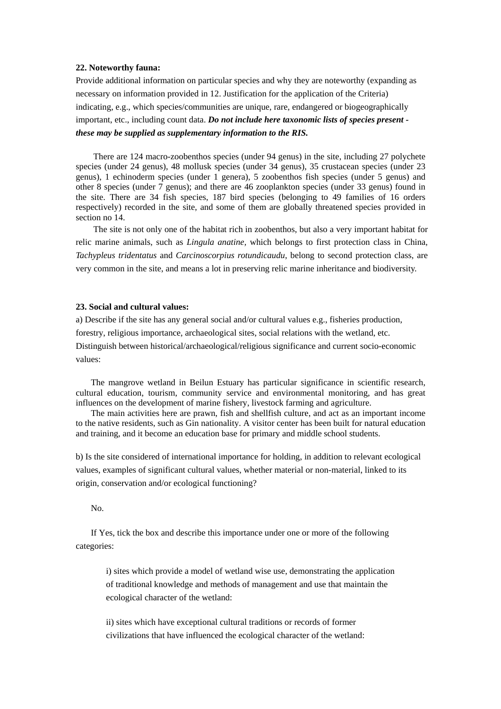#### **22. Noteworthy fauna:**

Provide additional information on particular species and why they are noteworthy (expanding as necessary on information provided in 12. Justification for the application of the Criteria) indicating, e.g., which species/communities are unique, rare, endangered or biogeographically important, etc., including count data. *Do not include here taxonomic lists of species present these may be supplied as supplementary information to the RIS.* 

There are 124 macro-zoobenthos species (under 94 genus) in the site, including 27 polychete species (under 24 genus), 48 mollusk species (under 34 genus), 35 crustacean species (under 23 genus), 1 echinoderm species (under 1 genera), 5 zoobenthos fish species (under 5 genus) and other 8 species (under 7 genus); and there are 46 zooplankton species (under 33 genus) found in the site. There are 34 fish species, 187 bird species (belonging to 49 families of 16 orders respectively) recorded in the site, and some of them are globally threatened species provided in section no 14.

The site is not only one of the habitat rich in zoobenthos, but also a very important habitat for relic marine animals, such as *Lingula anatine,* which belongs to first protection class in China, *Tachypleus tridentatus* and *Carcinoscorpius rotundicaudu*, belong to second protection class, are very common in the site, and means a lot in preserving relic marine inheritance and biodiversity.

#### **23. Social and cultural values:**

a) Describe if the site has any general social and/or cultural values e.g., fisheries production, forestry, religious importance, archaeological sites, social relations with the wetland, etc. Distinguish between historical/archaeological/religious significance and current socio-economic values:

The mangrove wetland in Beilun Estuary has particular significance in scientific research, cultural education, tourism, community service and environmental monitoring, and has great influences on the development of marine fishery, livestock farming and agriculture.

The main activities here are prawn, fish and shellfish culture, and act as an important income to the native residents, such as Gin nationality. A visitor center has been built for natural education and training, and it become an education base for primary and middle school students.

b) Is the site considered of international importance for holding, in addition to relevant ecological values, examples of significant cultural values, whether material or non-material, linked to its origin, conservation and/or ecological functioning?

No.

If Yes, tick the box and describe this importance under one or more of the following categories:

i) sites which provide a model of wetland wise use, demonstrating the application of traditional knowledge and methods of management and use that maintain the ecological character of the wetland:

ii) sites which have exceptional cultural traditions or records of former civilizations that have influenced the ecological character of the wetland: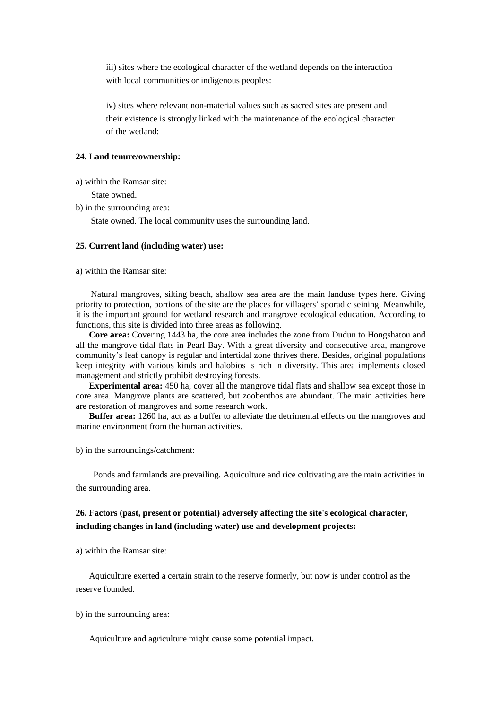iii) sites where the ecological character of the wetland depends on the interaction with local communities or indigenous peoples:

iv) sites where relevant non-material values such as sacred sites are present and their existence is strongly linked with the maintenance of the ecological character of the wetland:

## **24. Land tenure/ownership:**

a) within the Ramsar site:

State owned.

b) in the surrounding area:

State owned. The local community uses the surrounding land.

#### **25. Current land (including water) use:**

a) within the Ramsar site:

Natural mangroves, silting beach, shallow sea area are the main landuse types here. Giving priority to protection, portions of the site are the places for villagers' sporadic seining. Meanwhile, it is the important ground for wetland research and mangrove ecological education. According to functions, this site is divided into three areas as following.

 **Core area:** Covering 1443 ha, the core area includes the zone from Dudun to Hongshatou and all the mangrove tidal flats in Pearl Bay. With a great diversity and consecutive area, mangrove community's leaf canopy is regular and intertidal zone thrives there. Besides, original populations keep integrity with various kinds and halobios is rich in diversity. This area implements closed management and strictly prohibit destroying forests.

 **Experimental area:** 450 ha, cover all the mangrove tidal flats and shallow sea except those in core area. Mangrove plants are scattered, but zoobenthos are abundant. The main activities here are restoration of mangroves and some research work.

 **Buffer area:** 1260 ha, act as a buffer to alleviate the detrimental effects on the mangroves and marine environment from the human activities.

b) in the surroundings/catchment:

Ponds and farmlands are prevailing. Aquiculture and rice cultivating are the main activities in the surrounding area.

## **26. Factors (past, present or potential) adversely affecting the site's ecological character, including changes in land (including water) use and development projects:**

a) within the Ramsar site:

Aquiculture exerted a certain strain to the reserve formerly, but now is under control as the reserve founded.

b) in the surrounding area:

Aquiculture and agriculture might cause some potential impact.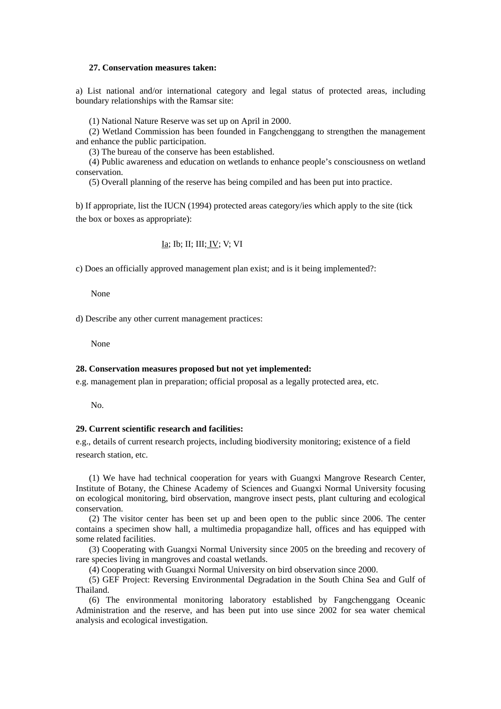#### **27. Conservation measures taken:**

a) List national and/or international category and legal status of protected areas, including boundary relationships with the Ramsar site:

(1) National Nature Reserve was set up on April in 2000.

(2) Wetland Commission has been founded in Fangchenggang to strengthen the management and enhance the public participation.

(3) The bureau of the conserve has been established.

(4) Public awareness and education on wetlands to enhance people's consciousness on wetland conservation.

(5) Overall planning of the reserve has being compiled and has been put into practice.

b) If appropriate, list the IUCN (1994) protected areas category/ies which apply to the site (tick the box or boxes as appropriate):

Ia; Ib; II; III; IV; V; VI

c) Does an officially approved management plan exist; and is it being implemented?:

None

d) Describe any other current management practices:

None

#### **28. Conservation measures proposed but not yet implemented:**

e.g. management plan in preparation; official proposal as a legally protected area, etc.

No.

## **29. Current scientific research and facilities:**

e.g., details of current research projects, including biodiversity monitoring; existence of a field research station, etc.

(1) We have had technical cooperation for years with Guangxi Mangrove Research Center, Institute of Botany, the Chinese Academy of Sciences and Guangxi Normal University focusing on ecological monitoring, bird observation, mangrove insect pests, plant culturing and ecological conservation.

(2) The visitor center has been set up and been open to the public since 2006. The center contains a specimen show hall, a multimedia propagandize hall, offices and has equipped with some related facilities.

(3) Cooperating with Guangxi Normal University since 2005 on the breeding and recovery of rare species living in mangroves and coastal wetlands.

(4) Cooperating with Guangxi Normal University on bird observation since 2000.

(5) GEF Project: Reversing Environmental Degradation in the South China Sea and Gulf of Thailand.

(6) The environmental monitoring laboratory established by Fangchenggang Oceanic Administration and the reserve, and has been put into use since 2002 for sea water chemical analysis and ecological investigation.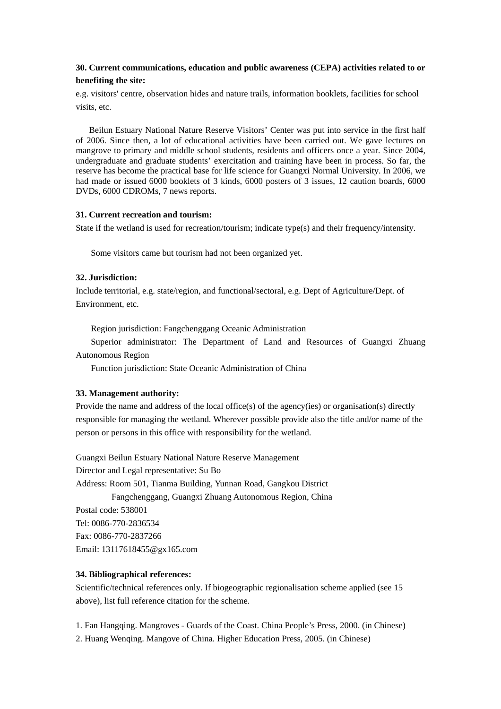## **30. Current communications, education and public awareness (CEPA) activities related to or benefiting the site:**

e.g. visitors' centre, observation hides and nature trails, information booklets, facilities for school visits, etc.

Beilun Estuary National Nature Reserve Visitors' Center was put into service in the first half of 2006. Since then, a lot of educational activities have been carried out. We gave lectures on mangrove to primary and middle school students, residents and officers once a year. Since 2004, undergraduate and graduate students' exercitation and training have been in process. So far, the reserve has become the practical base for life science for Guangxi Normal University. In 2006, we had made or issued 6000 booklets of 3 kinds, 6000 posters of 3 issues, 12 caution boards, 6000 DVDs, 6000 CDROMs, 7 news reports.

## **31. Current recreation and tourism:**

State if the wetland is used for recreation/tourism; indicate type(s) and their frequency/intensity.

Some visitors came but tourism had not been organized yet.

## **32. Jurisdiction:**

Include territorial, e.g. state/region, and functional/sectoral, e.g. Dept of Agriculture/Dept. of Environment, etc.

Region jurisdiction: Fangchenggang Oceanic Administration

Superior administrator: The Department of Land and Resources of Guangxi Zhuang Autonomous Region

Function jurisdiction: State Oceanic Administration of China

## **33. Management authority:**

Provide the name and address of the local office(s) of the agency(ies) or organisation(s) directly responsible for managing the wetland. Wherever possible provide also the title and/or name of the person or persons in this office with responsibility for the wetland.

Guangxi Beilun Estuary National Nature Reserve Management Director and Legal representative: Su Bo Address: Room 501, Tianma Building, Yunnan Road, Gangkou District Fangchenggang, Guangxi Zhuang Autonomous Region, China Postal code: 538001 Tel: 0086-770-2836534 Fax: 0086-770-2837266 Email: 13117618455@gx165.com

## **34. Bibliographical references:**

Scientific/technical references only. If biogeographic regionalisation scheme applied (see 15 above), list full reference citation for the scheme.

1. Fan Hangqing. Mangroves - Guards of the Coast. China People's Press, 2000. (in Chinese) 2. Huang Wenqing. Mangove of China. Higher Education Press, 2005. (in Chinese)